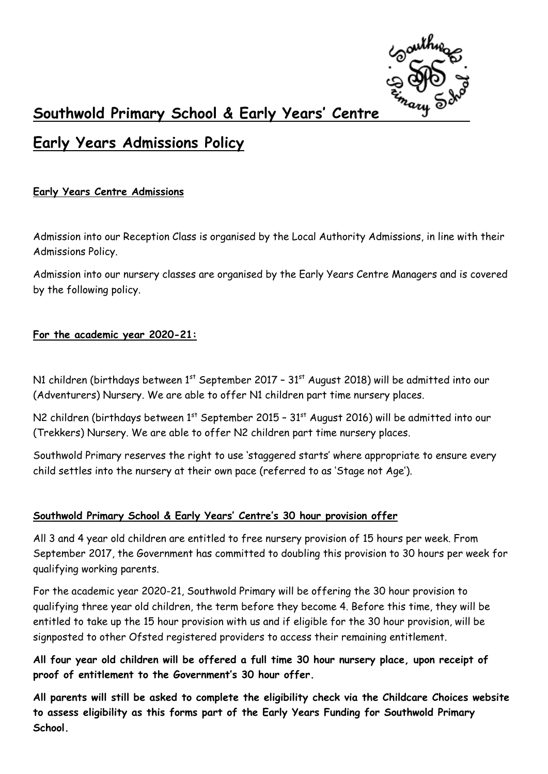

# **Southwold Primary School & Early Years' Centre**

# **Early Years Admissions Policy**

**Early Years Centre Admissions** 

Admission into our Reception Class is organised by the Local Authority Admissions, in line with their Admissions Policy.

Admission into our nursery classes are organised by the Early Years Centre Managers and is covered by the following policy.

#### **For the academic year 2020-21:**

N1 children (birthdays between  $1<sup>st</sup>$  September 2017 - 31 $<sup>st</sup>$  August 2018) will be admitted into our</sup> (Adventurers) Nursery. We are able to offer N1 children part time nursery places.

N2 children (birthdays between  $1^{st}$  September 2015 - 31 $^{st}$  August 2016) will be admitted into our (Trekkers) Nursery. We are able to offer N2 children part time nursery places.

Southwold Primary reserves the right to use 'staggered starts' where appropriate to ensure every child settles into the nursery at their own pace (referred to as 'Stage not Age').

## **Southwold Primary School & Early Years' Centre's 30 hour provision offer**

All 3 and 4 year old children are entitled to free nursery provision of 15 hours per week. From September 2017, the Government has committed to doubling this provision to 30 hours per week for qualifying working parents.

For the academic year 2020-21, Southwold Primary will be offering the 30 hour provision to qualifying three year old children, the term before they become 4. Before this time, they will be entitled to take up the 15 hour provision with us and if eligible for the 30 hour provision, will be signposted to other Ofsted registered providers to access their remaining entitlement.

**All four year old children will be offered a full time 30 hour nursery place, upon receipt of proof of entitlement to the Government's 30 hour offer.** 

**All parents will still be asked to complete the eligibility check via the Childcare Choices website to assess eligibility as this forms part of the Early Years Funding for Southwold Primary School.**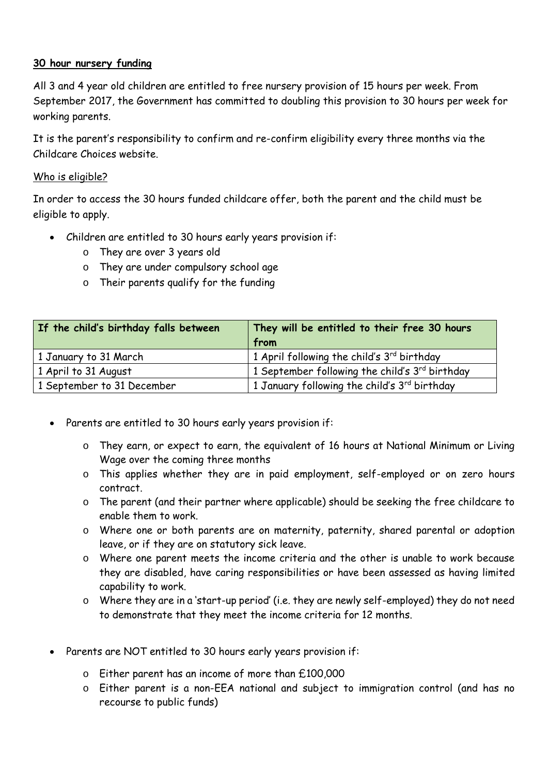### **30 hour nursery funding**

All 3 and 4 year old children are entitled to free nursery provision of 15 hours per week. From September 2017, the Government has committed to doubling this provision to 30 hours per week for working parents.

It is the parent's responsibility to confirm and re-confirm eligibility every three months via the Childcare Choices website.

#### Who is eligible?

In order to access the 30 hours funded childcare offer, both the parent and the child must be eligible to apply.

- Children are entitled to 30 hours early years provision if:
	- o They are over 3 years old
	- o They are under compulsory school age
	- o Their parents qualify for the funding

| If the child's birthday falls between | They will be entitled to their free 30 hours<br>from |
|---------------------------------------|------------------------------------------------------|
| 1 January to 31 March                 | 1 April following the child's 3rd birthday           |
| 1 April to 31 August                  | 1 September following the child's 3rd birthday       |
| 1 September to 31 December            | 1 January following the child's 3rd birthday         |

- Parents are entitled to 30 hours early years provision if:
	- o They earn, or expect to earn, the equivalent of 16 hours at National Minimum or Living Wage over the coming three months
	- o This applies whether they are in paid employment, self-employed or on zero hours contract.
	- o The parent (and their partner where applicable) should be seeking the free childcare to enable them to work.
	- o Where one or both parents are on maternity, paternity, shared parental or adoption leave, or if they are on statutory sick leave.
	- o Where one parent meets the income criteria and the other is unable to work because they are disabled, have caring responsibilities or have been assessed as having limited capability to work.
	- o Where they are in a 'start-up period' (i.e. they are newly self-employed) they do not need to demonstrate that they meet the income criteria for 12 months.
- Parents are NOT entitled to 30 hours early years provision if:
	- o Either parent has an income of more than £100,000
	- o Either parent is a non-EEA national and subject to immigration control (and has no recourse to public funds)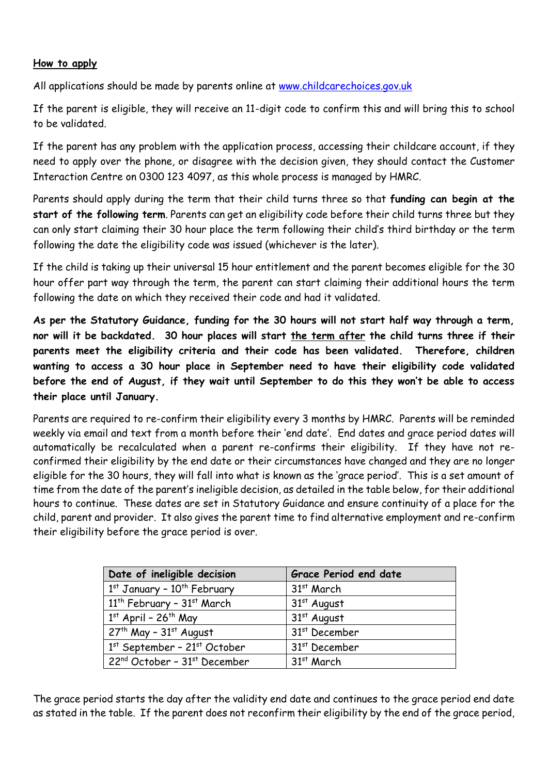#### **How to apply**

All applications should be made by parents online at [www.childcarechoices.gov.uk](http://www.childcarechoices.gov.uk/)

If the parent is eligible, they will receive an 11-digit code to confirm this and will bring this to school to be validated.

If the parent has any problem with the application process, accessing their childcare account, if they need to apply over the phone, or disagree with the decision given, they should contact the Customer Interaction Centre on 0300 123 4097, as this whole process is managed by HMRC.

Parents should apply during the term that their child turns three so that **funding can begin at the start of the following term**. Parents can get an eligibility code before their child turns three but they can only start claiming their 30 hour place the term following their child's third birthday or the term following the date the eligibility code was issued (whichever is the later).

If the child is taking up their universal 15 hour entitlement and the parent becomes eligible for the 30 hour offer part way through the term, the parent can start claiming their additional hours the term following the date on which they received their code and had it validated.

**As per the Statutory Guidance, funding for the 30 hours will not start half way through a term, nor will it be backdated. 30 hour places will start the term after the child turns three if their parents meet the eligibility criteria and their code has been validated. Therefore, children wanting to access a 30 hour place in September need to have their eligibility code validated before the end of August, if they wait until September to do this they won't be able to access their place until January.**

Parents are required to re-confirm their eligibility every 3 months by HMRC. Parents will be reminded weekly via email and text from a month before their 'end date'. End dates and grace period dates will automatically be recalculated when a parent re-confirms their eligibility. If they have not reconfirmed their eligibility by the end date or their circumstances have changed and they are no longer eligible for the 30 hours, they will fall into what is known as the 'grace period'. This is a set amount of time from the date of the parent's ineligible decision, as detailed in the table below, for their additional hours to continue. These dates are set in Statutory Guidance and ensure continuity of a place for the child, parent and provider. It also gives the parent time to find alternative employment and re-confirm their eligibility before the grace period is over.

| Date of ineligible decision             | <b>Grace Period end date</b> |
|-----------------------------------------|------------------------------|
| 1st January - 10 <sup>th</sup> February | 31 <sup>st</sup> March       |
| $11^{th}$ February - $31^{st}$ March    | $31st$ August                |
| $1st$ April - 26 <sup>th</sup> May      | 31 <sup>st</sup> August      |
| $27th$ May - $31st$ August              | 31 <sup>st</sup> December    |
| $1st$ September - 21 $st$ October       | 31 <sup>st</sup> December    |
| $22^{nd}$ October - $31^{st}$ December  | $31st$ March                 |

The grace period starts the day after the validity end date and continues to the grace period end date as stated in the table. If the parent does not reconfirm their eligibility by the end of the grace period,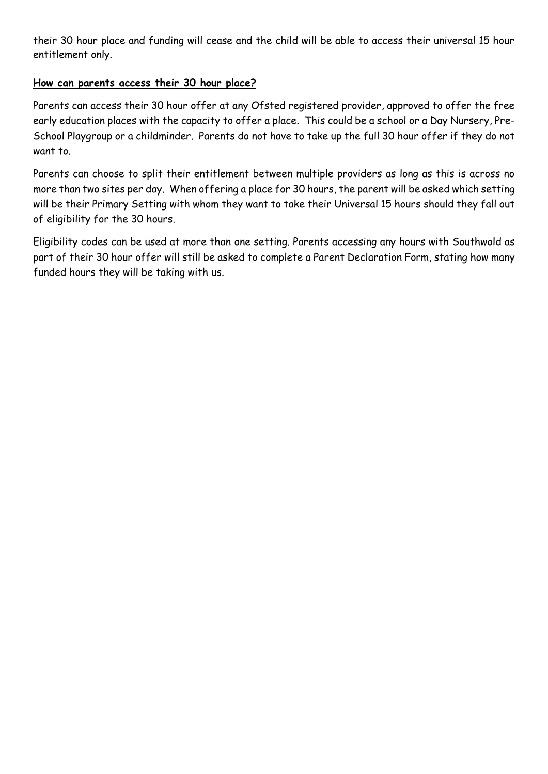their 30 hour place and funding will cease and the child will be able to access their universal 15 hour entitlement only.

## **How can parents access their 30 hour place?**

Parents can access their 30 hour offer at any Ofsted registered provider, approved to offer the free early education places with the capacity to offer a place. This could be a school or a Day Nursery, Pre-School Playgroup or a childminder. Parents do not have to take up the full 30 hour offer if they do not want to.

Parents can choose to split their entitlement between multiple providers as long as this is across no more than two sites per day. When offering a place for 30 hours, the parent will be asked which setting will be their Primary Setting with whom they want to take their Universal 15 hours should they fall out of eligibility for the 30 hours.

Eligibility codes can be used at more than one setting. Parents accessing any hours with Southwold as part of their 30 hour offer will still be asked to complete a Parent Declaration Form, stating how many funded hours they will be taking with us.